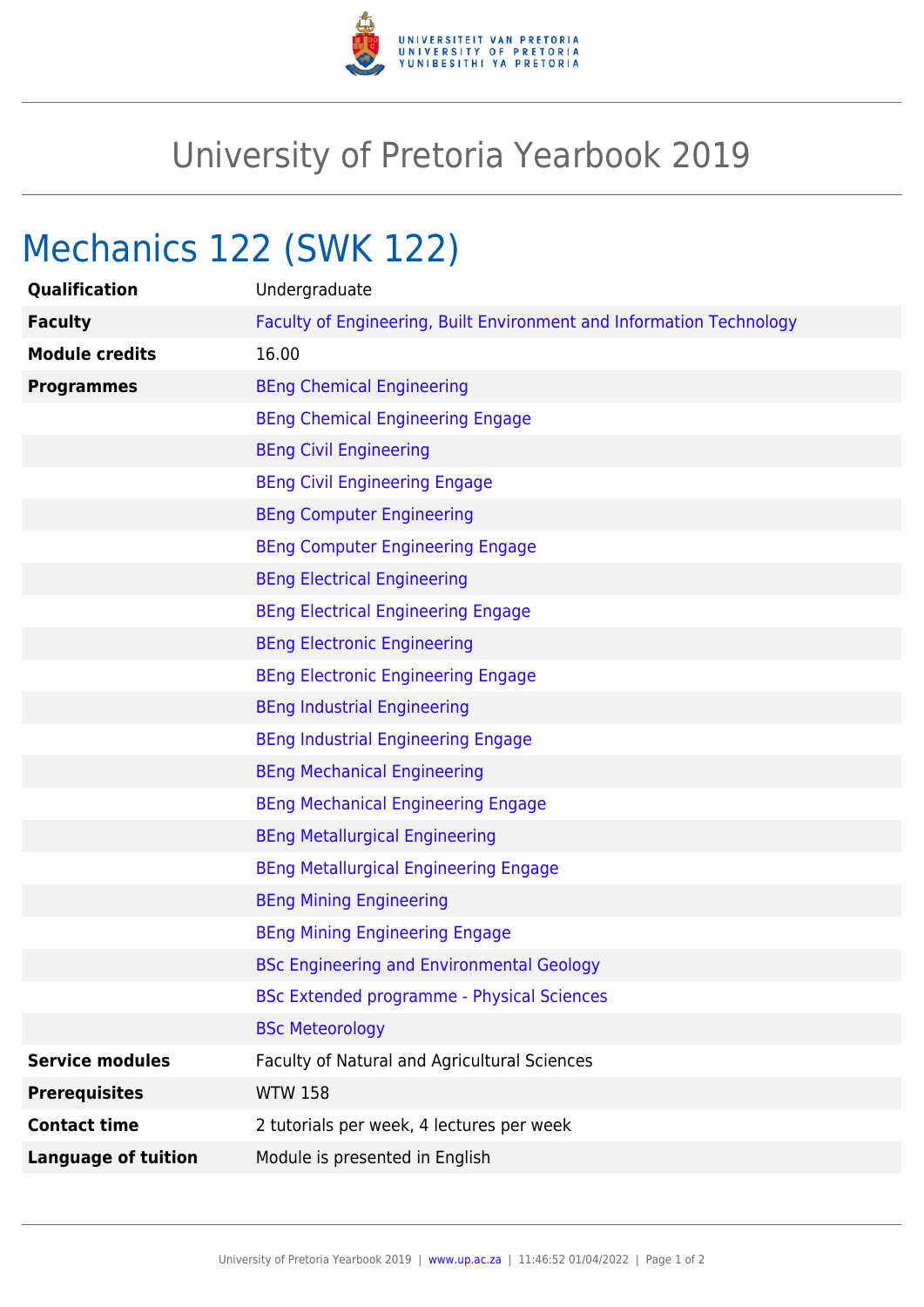

## University of Pretoria Yearbook 2019

# Mechanics 122 (SWK 122)

| Qualification              | Undergraduate                                                        |
|----------------------------|----------------------------------------------------------------------|
| <b>Faculty</b>             | Faculty of Engineering, Built Environment and Information Technology |
| <b>Module credits</b>      | 16.00                                                                |
| <b>Programmes</b>          | <b>BEng Chemical Engineering</b>                                     |
|                            | <b>BEng Chemical Engineering Engage</b>                              |
|                            | <b>BEng Civil Engineering</b>                                        |
|                            | <b>BEng Civil Engineering Engage</b>                                 |
|                            | <b>BEng Computer Engineering</b>                                     |
|                            | <b>BEng Computer Engineering Engage</b>                              |
|                            | <b>BEng Electrical Engineering</b>                                   |
|                            | <b>BEng Electrical Engineering Engage</b>                            |
|                            | <b>BEng Electronic Engineering</b>                                   |
|                            | <b>BEng Electronic Engineering Engage</b>                            |
|                            | <b>BEng Industrial Engineering</b>                                   |
|                            | <b>BEng Industrial Engineering Engage</b>                            |
|                            | <b>BEng Mechanical Engineering</b>                                   |
|                            | <b>BEng Mechanical Engineering Engage</b>                            |
|                            | <b>BEng Metallurgical Engineering</b>                                |
|                            | <b>BEng Metallurgical Engineering Engage</b>                         |
|                            | <b>BEng Mining Engineering</b>                                       |
|                            | <b>BEng Mining Engineering Engage</b>                                |
|                            | <b>BSc Engineering and Environmental Geology</b>                     |
|                            | <b>BSc Extended programme - Physical Sciences</b>                    |
|                            | <b>BSc Meteorology</b>                                               |
| <b>Service modules</b>     | Faculty of Natural and Agricultural Sciences                         |
| <b>Prerequisites</b>       | <b>WTW 158</b>                                                       |
| <b>Contact time</b>        | 2 tutorials per week, 4 lectures per week                            |
| <b>Language of tuition</b> | Module is presented in English                                       |
|                            |                                                                      |